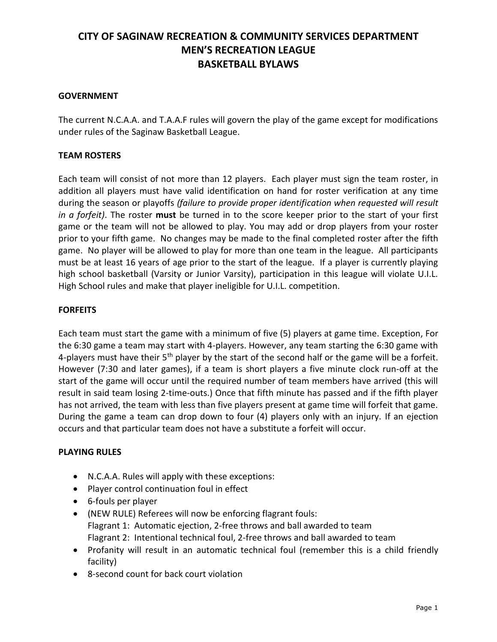## **GOVERNMENT**

The current N.C.A.A. and T.A.A.F rules will govern the play of the game except for modifications under rules of the Saginaw Basketball League.

## **TEAM ROSTERS**

Each team will consist of not more than 12 players. Each player must sign the team roster, in addition all players must have valid identification on hand for roster verification at any time during the season or playoffs *(failure to provide proper identification when requested will result in a forfeit)*. The roster **must** be turned in to the score keeper prior to the start of your first game or the team will not be allowed to play. You may add or drop players from your roster prior to your fifth game. No changes may be made to the final completed roster after the fifth game. No player will be allowed to play for more than one team in the league. All participants must be at least 16 years of age prior to the start of the league. If a player is currently playing high school basketball (Varsity or Junior Varsity), participation in this league will violate U.I.L. High School rules and make that player ineligible for U.I.L. competition.

## **FORFEITS**

Each team must start the game with a minimum of five (5) players at game time. Exception, For the 6:30 game a team may start with 4-players. However, any team starting the 6:30 game with 4-players must have their  $5<sup>th</sup>$  player by the start of the second half or the game will be a forfeit. However (7:30 and later games), if a team is short players a five minute clock run-off at the start of the game will occur until the required number of team members have arrived (this will result in said team losing 2-time-outs.) Once that fifth minute has passed and if the fifth player has not arrived, the team with less than five players present at game time will forfeit that game. During the game a team can drop down to four (4) players only with an injury. If an ejection occurs and that particular team does not have a substitute a forfeit will occur.

### **PLAYING RULES**

- N.C.A.A. Rules will apply with these exceptions:
- Player control continuation foul in effect
- 6-fouls per player
- (NEW RULE) Referees will now be enforcing flagrant fouls: Flagrant 1: Automatic ejection, 2-free throws and ball awarded to team Flagrant 2: Intentional technical foul, 2-free throws and ball awarded to team
- Profanity will result in an automatic technical foul (remember this is a child friendly facility)
- 8-second count for back court violation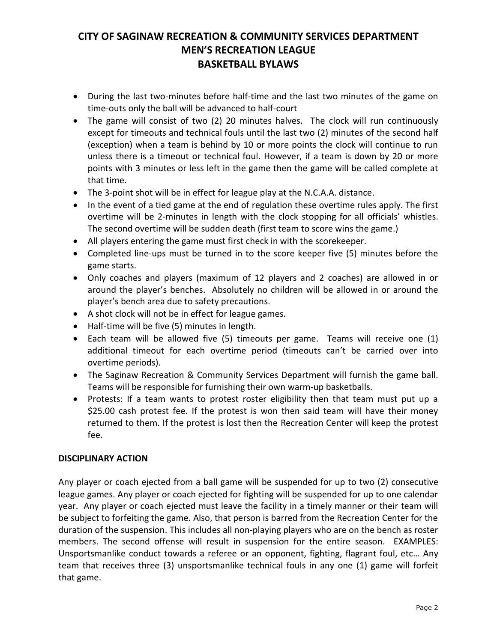- During the last two-minutes before half-time and the last two minutes of the game on time-outs only the ball will be advanced to half-court
- The game will consist of two (2) 20 minutes halves. The clock will run continuously except for timeouts and technical fouls until the last two (2) minutes of the second half (exception) when a team is behind by 10 or more points the clock will continue to run unless there is a timeout or technical foul. However, if a team is down by 20 or more points with 3 minutes or less left in the game then the game will be called complete at that time.
- The 3-point shot will be in effect for league play at the N.C.A.A. distance.
- In the event of a tied game at the end of regulation these overtime rules apply. The first overtime will be 2-minutes in length with the clock stopping for all officials' whistles. The second overtime will be sudden death (first team to score wins the game.)
- All players entering the game must first check in with the scorekeeper.
- Completed line-ups must be turned in to the score keeper five (5) minutes before the game starts.
- Only coaches and players (maximum of 12 players and 2 coaches) are allowed in or around the player's benches. Absolutely no children will be allowed in or around the player's bench area due to safety precautions.
- A shot clock will not be in effect for league games.
- Half-time will be five (5) minutes in length.
- Each team will be allowed five (5) timeouts per game. Teams will receive one (1) additional timeout for each overtime period (timeouts can't be carried over into overtime periods).
- The Saginaw Recreation & Community Services Department will furnish the game ball. Teams will be responsible for furnishing their own warm-up basketballs.
- Protests: If a team wants to protest roster eligibility then that team must put up a \$25.00 cash protest fee. If the protest is won then said team will have their money returned to them. If the protest is lost then the Recreation Center will keep the protest fee.

### **DISCIPLINARY ACTION**

Any player or coach ejected from a ball game will be suspended for up to two (2) consecutive league games. Any player or coach ejected for fighting will be suspended for up to one calendar year. Any player or coach ejected must leave the facility in a timely manner or their team will be subject to forfeiting the game. Also, that person is barred from the Recreation Center for the duration of the suspension. This includes all non-playing players who are on the bench as roster members. The second offense will result in suspension for the entire season. EXAMPLES: Unsportsmanlike conduct towards a referee or an opponent, fighting, flagrant foul, etc… Any team that receives three (3) unsportsmanlike technical fouls in any one (1) game will forfeit that game.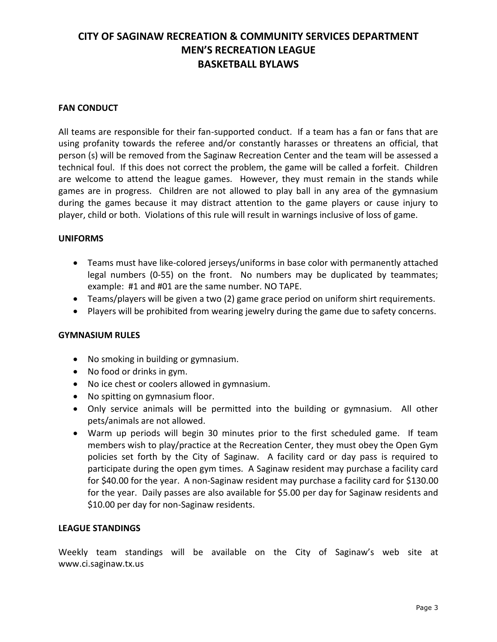### **FAN CONDUCT**

All teams are responsible for their fan-supported conduct. If a team has a fan or fans that are using profanity towards the referee and/or constantly harasses or threatens an official, that person (s) will be removed from the Saginaw Recreation Center and the team will be assessed a technical foul. If this does not correct the problem, the game will be called a forfeit. Children are welcome to attend the league games. However, they must remain in the stands while games are in progress. Children are not allowed to play ball in any area of the gymnasium during the games because it may distract attention to the game players or cause injury to player, child or both. Violations of this rule will result in warnings inclusive of loss of game.

#### **UNIFORMS**

- Teams must have like-colored jerseys/uniforms in base color with permanently attached legal numbers (0-55) on the front. No numbers may be duplicated by teammates; example: #1 and #01 are the same number. NO TAPE.
- Teams/players will be given a two (2) game grace period on uniform shirt requirements.
- Players will be prohibited from wearing jewelry during the game due to safety concerns.

#### **GYMNASIUM RULES**

- No smoking in building or gymnasium.
- No food or drinks in gym.
- No ice chest or coolers allowed in gymnasium.
- No spitting on gymnasium floor.
- Only service animals will be permitted into the building or gymnasium. All other pets/animals are not allowed.
- Warm up periods will begin 30 minutes prior to the first scheduled game. If team members wish to play/practice at the Recreation Center, they must obey the Open Gym policies set forth by the City of Saginaw. A facility card or day pass is required to participate during the open gym times. A Saginaw resident may purchase a facility card for \$40.00 for the year. A non-Saginaw resident may purchase a facility card for \$130.00 for the year. Daily passes are also available for \$5.00 per day for Saginaw residents and \$10.00 per day for non-Saginaw residents.

#### **LEAGUE STANDINGS**

Weekly team standings will be available on the City of Saginaw's web site at [www.ci.saginaw.tx.us](http://www.ci.saginaw.tx.us/)